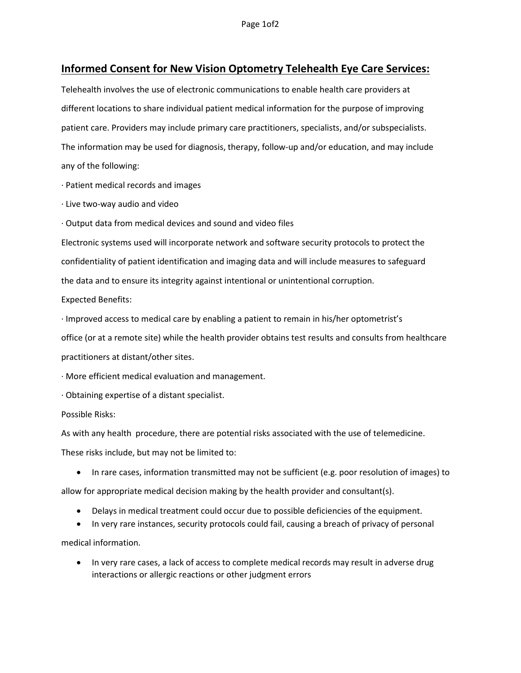## Informed Consent for New Vision Optometry Telehealth Eye Care Services:

Telehealth involves the use of electronic communications to enable health care providers at different locations to share individual patient medical information for the purpose of improving patient care. Providers may include primary care practitioners, specialists, and/or subspecialists. The information may be used for diagnosis, therapy, follow-up and/or education, and may include any of the following:

· Patient medical records and images

· Live two-way audio and video

· Output data from medical devices and sound and video files

Electronic systems used will incorporate network and software security protocols to protect the confidentiality of patient identification and imaging data and will include measures to safeguard the data and to ensure its integrity against intentional or unintentional corruption.

Expected Benefits:

· Improved access to medical care by enabling a patient to remain in his/her optometrist's

office (or at a remote site) while the health provider obtains test results and consults from healthcare

practitioners at distant/other sites.

· More efficient medical evaluation and management.

· Obtaining expertise of a distant specialist.

Possible Risks:

As with any health procedure, there are potential risks associated with the use of telemedicine.

These risks include, but may not be limited to:

• In rare cases, information transmitted may not be sufficient (e.g. poor resolution of images) to

allow for appropriate medical decision making by the health provider and consultant(s).

- Delays in medical treatment could occur due to possible deficiencies of the equipment.
- In very rare instances, security protocols could fail, causing a breach of privacy of personal

medical information.

 In very rare cases, a lack of access to complete medical records may result in adverse drug interactions or allergic reactions or other judgment errors